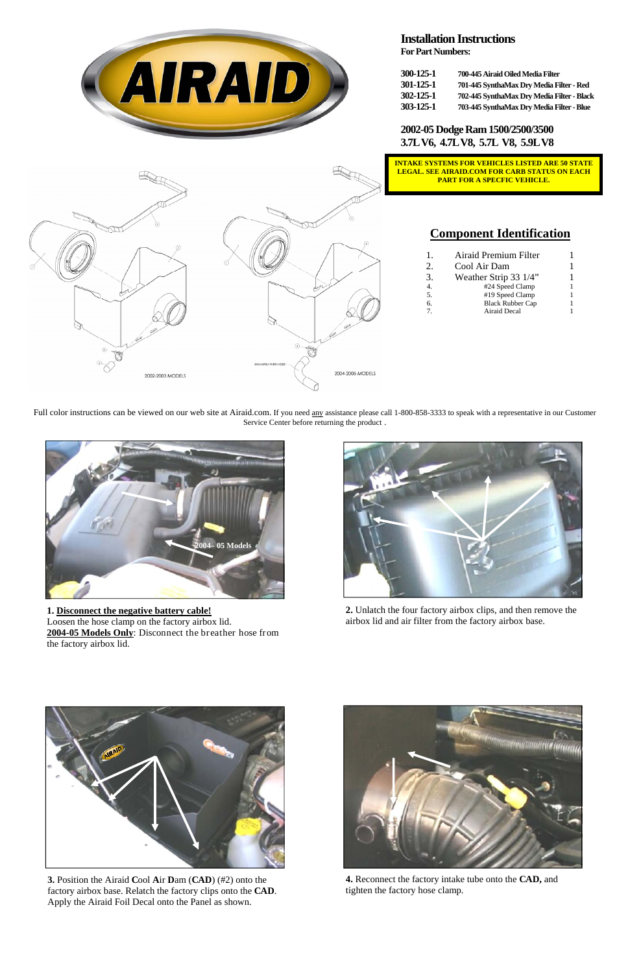

## **Installation Instructions**

**For Part Numbers:** 

| 300-125-1 | 700-445 Airaid Oiled Media Filter          |
|-----------|--------------------------------------------|
| 301-125-1 | 701-445 SynthaMax Dry Media Filter - Red   |
| 302-125-1 | 702-445 SynthaMax Dry Media Filter - Black |
| 303-125-1 | 703-445 SynthaMax Dry Media Filter - Blue  |

**2002-05 Dodge Ram 1500/2500/3500 3.7L V6, 4.7L V8, 5.7L V8, 5.9L V8** 

# **Component Identification**

| L              | Airaid Premium Filter   |  |
|----------------|-------------------------|--|
| 2.             | Cool Air Dam            |  |
| 3.             | Weather Strip 33 1/4"   |  |
| 4.             | #24 Speed Clamp         |  |
| 5.             | #19 Speed Clamp         |  |
| 6.             | <b>Black Rubber Cap</b> |  |
| $\overline{7}$ | Airaid Decal            |  |
|                |                         |  |

**3.** Position the Airaid **C**ool **A**ir **D**am (**CAD**) (#2) onto the factory airbox base. Relatch the factory clips onto the **CAD**. Apply the Airaid Foil Decal onto the Panel as shown.

Full color instructions can be viewed on our web site at Airaid.com. If you need any assistance please call 1-800-858-3333 to speak with a representative in our Customer Service Center before returning the product .



**1. Disconnect the negative battery cable!**  Loosen the hose clamp on the factory airbox lid. **2004-05 Models Only**: Disconnect the breather hose from the factory airbox lid.

**4.** Reconnect the factory intake tube onto the **CAD,** and tighten the factory hose clamp.



**2.** Unlatch the four factory airbox clips, and then remove the airbox lid and air filter from the factory airbox base.







**PART FOR A SPECFIC VEHICLE.**